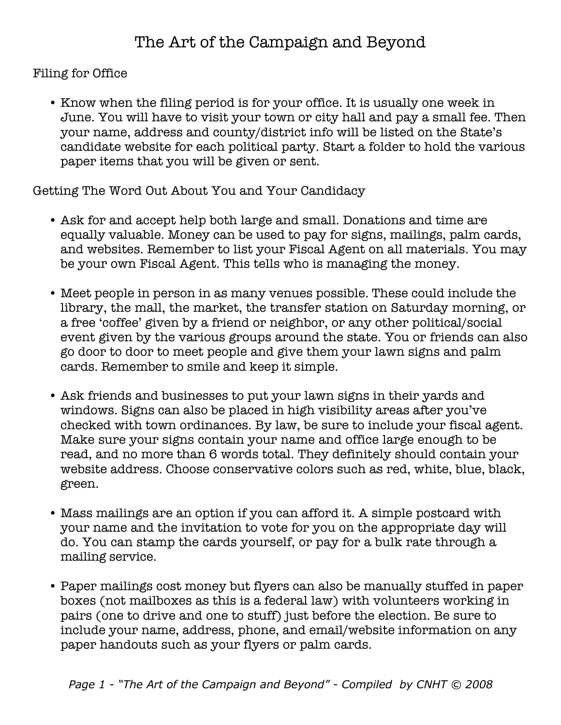Filing for Office

• Know when the filing period is for your office. It is usually one week in June. You will have to visit your town or city hall and pay a small fee. Then your name, address and county/district info will be listed on the State's candidate website for each political party. Start a folder to hold the various paper items that you will be given or sent.

Getting The Word Out About You and Your Candidacy

- Ask for and accept help both large and small. Donations and time are equally valuable. Money can be used to pay for signs, mailings, palm cards, and websites. Remember to list your Fiscal Agent on all materials. You may be your own Fiscal Agent. This tells who is managing the money.
- Meet people in person in as many venues possible. These could include the library, the mall, the market, the transfer station on Saturday morning, or a free 'coffee' given by a friend or neighbor, or any other political/social event given by the various groups around the state. You or friends can also go door to door to meet people and give them your lawn signs and palm cards. Remember to smile and keep it simple.
- Ask friends and businesses to put your lawn signs in their yards and windows. Signs can also be placed in high visibility areas after you've checked with town ordinances. By law, be sure to include your fiscal agent. Make sure your signs contain your name and office large enough to be read, and no more than 6 words total. They definitely should contain your website address. Choose conservative colors such as red, white, blue, black, green.
- Mass mailings are an option if you can afford it. A simple postcard with your name and the invitation to vote for you on the appropriate day will do. You can stamp the cards yourself, or pay for a bulk rate through a mailing service.
- Paper mailings cost money but flyers can also be manually stuffed in paper boxes (not mailboxes as this is a federal law) with volunteers working in pairs (one to drive and one to stuff) just before the election. Be sure to include your name, address, phone, and email/website information on any paper handouts such as your flyers or palm cards.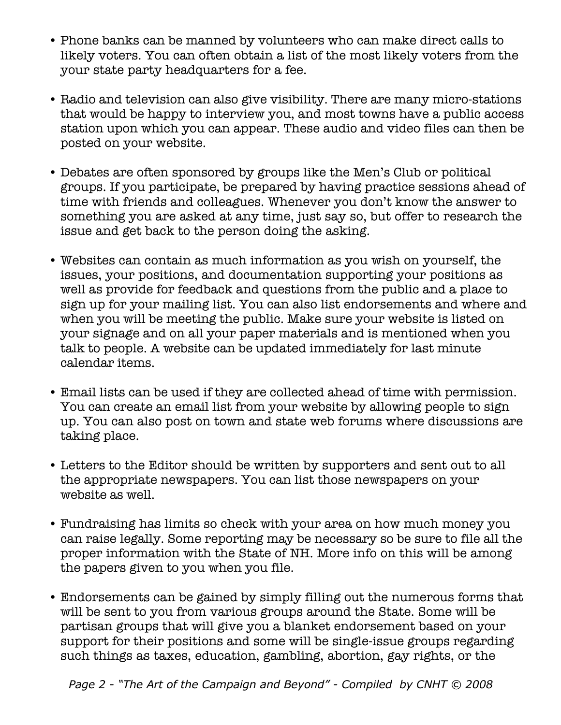- Phone banks can be manned by volunteers who can make direct calls to likely voters. You can often obtain a list of the most likely voters from the your state party headquarters for a fee.
- Radio and television can also give visibility. There are many micro-stations that would be happy to interview you, and most towns have a public access station upon which you can appear. These audio and video files can then be posted on your website.
- Debates are often sponsored by groups like the Men's Club or political groups. If you participate, be prepared by having practice sessions ahead of time with friends and colleagues. Whenever you don't know the answer to something you are asked at any time, just say so, but offer to research the issue and get back to the person doing the asking.
- Websites can contain as much information as you wish on yourself, the issues, your positions, and documentation supporting your positions as well as provide for feedback and questions from the public and a place to sign up for your mailing list. You can also list endorsements and where and when you will be meeting the public. Make sure your website is listed on your signage and on all your paper materials and is mentioned when you talk to people. A website can be updated immediately for last minute calendar items.
- Email lists can be used if they are collected ahead of time with permission. You can create an email list from your website by allowing people to sign up. You can also post on town and state web forums where discussions are taking place.
- Letters to the Editor should be written by supporters and sent out to all the appropriate newspapers. You can list those newspapers on your website as well.
- Fundraising has limits so check with your area on how much money you can raise legally. Some reporting may be necessary so be sure to file all the proper information with the State of NH. More info on this will be among the papers given to you when you file.
- Endorsements can be gained by simply filling out the numerous forms that will be sent to you from various groups around the State. Some will be partisan groups that will give you a blanket endorsement based on your support for their positions and some will be single-issue groups regarding such things as taxes, education, gambling, abortion, gay rights, or the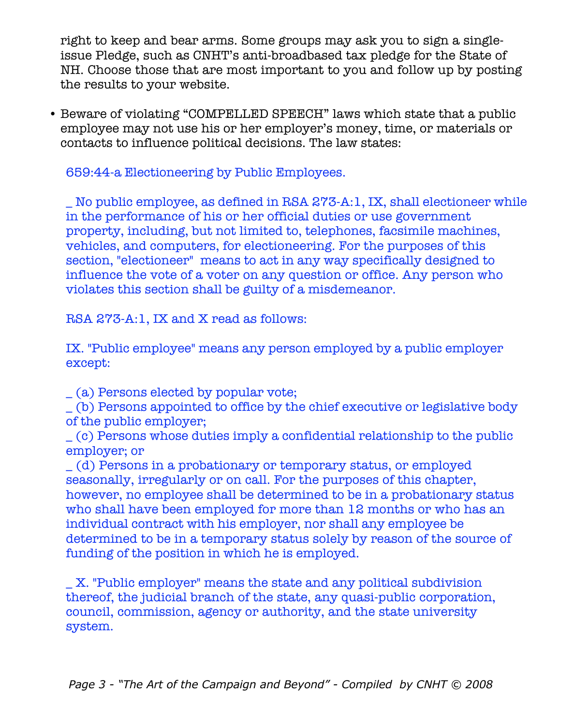right to keep and bear arms. Some groups may ask you to sign a singleissue Pledge, such as CNHT's anti-broadbased tax pledge for the State of NH. Choose those that are most important to you and follow up by posting the results to your website.

• Beware of violating "COMPELLED SPEECH" laws which state that a public employee may not use his or her employer's money, time, or materials or contacts to influence political decisions. The law states:

659:44-a Electioneering by Public Employees.

\_ No public employee, as defined in RSA 273-A:1, IX, shall electioneer while in the performance of his or her official duties or use government property, including, but not limited to, telephones, facsimile machines, vehicles, and computers, for electioneering. For the purposes of this section, "electioneer" means to act in any way specifically designed to influence the vote of a voter on any question or office. Any person who violates this section shall be guilty of a misdemeanor.

RSA 273-A:1, IX and X read as follows:

IX. "Public employee" means any person employed by a public employer except:

\_ (a) Persons elected by popular vote;

\_ (b) Persons appointed to office by the chief executive or legislative body of the public employer;

\_ (c) Persons whose duties imply a confidential relationship to the public employer; or

\_ (d) Persons in a probationary or temporary status, or employed seasonally, irregularly or on call. For the purposes of this chapter, however, no employee shall be determined to be in a probationary status who shall have been employed for more than 12 months or who has an individual contract with his employer, nor shall any employee be determined to be in a temporary status solely by reason of the source of funding of the position in which he is employed.

\_ X. "Public employer" means the state and any political subdivision thereof, the judicial branch of the state, any quasi-public corporation, council, commission, agency or authority, and the state university system.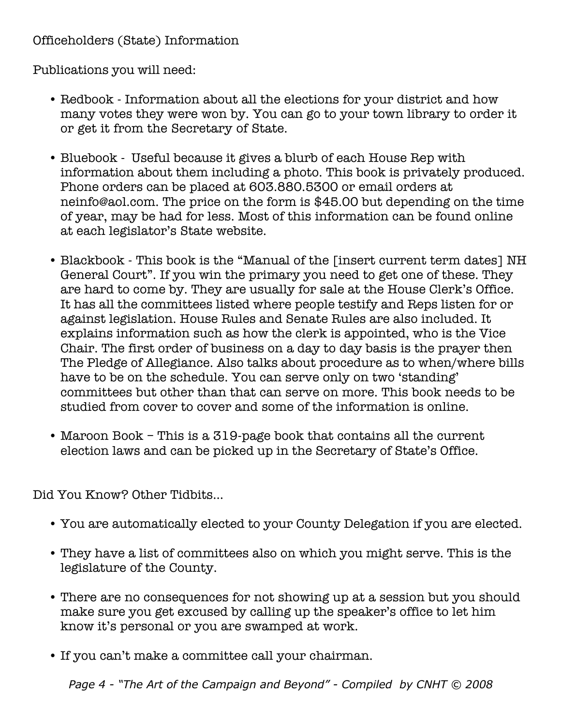## Officeholders (State) Information

Publications you will need:

- Redbook Information about all the elections for your district and how many votes they were won by. You can go to your town library to order it or get it from the Secretary of State.
- Bluebook Useful because it gives a blurb of each House Rep with information about them including a photo. This book is privately produced. Phone orders can be placed at 603.880.5300 or email orders at neinfo@aol.com. The price on the form is \$45.00 but depending on the time of year, may be had for less. Most of this information can be found online at each legislator's State website.
- Blackbook This book is the "Manual of the [insert current term dates] NH General Court". If you win the primary you need to get one of these. They are hard to come by. They are usually for sale at the House Clerk's Office. It has all the committees listed where people testify and Reps listen for or against legislation. House Rules and Senate Rules are also included. It explains information such as how the clerk is appointed, who is the Vice Chair. The first order of business on a day to day basis is the prayer then The Pledge of Allegiance. Also talks about procedure as to when/where bills have to be on the schedule. You can serve only on two 'standing' committees but other than that can serve on more. This book needs to be studied from cover to cover and some of the information is online.
- Maroon Book This is a 319-page book that contains all the current election laws and can be picked up in the Secretary of State's Office.

Did You Know? Other Tidbits...

- You are automatically elected to your County Delegation if you are elected.
- They have a list of committees also on which you might serve. This is the legislature of the County.
- There are no consequences for not showing up at a session but you should make sure you get excused by calling up the speaker's office to let him know it's personal or you are swamped at work.
- If you can't make a committee call your chairman.

*Page 4 - "The Art of the Campaign and Beyond" - Compiled by CNHT © 2008*